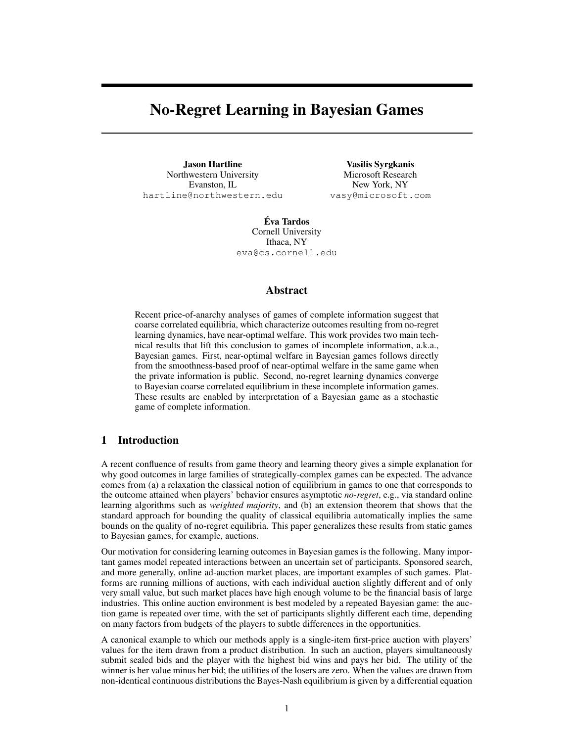# No-Regret Learning in Bayesian Games

Jason Hartline Northwestern University Evanston, IL hartline@northwestern.edu

Vasilis Syrgkanis Microsoft Research New York, NY vasy@microsoft.com

Eva Tardos ´ Cornell University Ithaca, NY eva@cs.cornell.edu

#### Abstract

Recent price-of-anarchy analyses of games of complete information suggest that coarse correlated equilibria, which characterize outcomes resulting from no-regret learning dynamics, have near-optimal welfare. This work provides two main technical results that lift this conclusion to games of incomplete information, a.k.a., Bayesian games. First, near-optimal welfare in Bayesian games follows directly from the smoothness-based proof of near-optimal welfare in the same game when the private information is public. Second, no-regret learning dynamics converge to Bayesian coarse correlated equilibrium in these incomplete information games. These results are enabled by interpretation of a Bayesian game as a stochastic game of complete information.

# 1 Introduction

A recent confluence of results from game theory and learning theory gives a simple explanation for why good outcomes in large families of strategically-complex games can be expected. The advance comes from (a) a relaxation the classical notion of equilibrium in games to one that corresponds to the outcome attained when players' behavior ensures asymptotic *no-regret*, e.g., via standard online learning algorithms such as *weighted majority*, and (b) an extension theorem that shows that the standard approach for bounding the quality of classical equilibria automatically implies the same bounds on the quality of no-regret equilibria. This paper generalizes these results from static games to Bayesian games, for example, auctions.

Our motivation for considering learning outcomes in Bayesian games is the following. Many important games model repeated interactions between an uncertain set of participants. Sponsored search, and more generally, online ad-auction market places, are important examples of such games. Platforms are running millions of auctions, with each individual auction slightly different and of only very small value, but such market places have high enough volume to be the financial basis of large industries. This online auction environment is best modeled by a repeated Bayesian game: the auction game is repeated over time, with the set of participants slightly different each time, depending on many factors from budgets of the players to subtle differences in the opportunities.

A canonical example to which our methods apply is a single-item first-price auction with players' values for the item drawn from a product distribution. In such an auction, players simultaneously submit sealed bids and the player with the highest bid wins and pays her bid. The utility of the winner is her value minus her bid; the utilities of the losers are zero. When the values are drawn from non-identical continuous distributions the Bayes-Nash equilibrium is given by a differential equation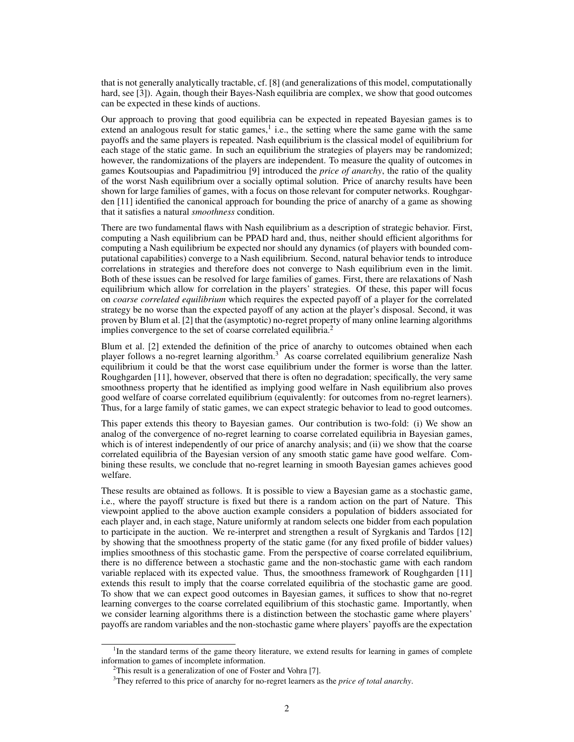that is not generally analytically tractable, cf. [8] (and generalizations of this model, computationally hard, see [3]). Again, though their Bayes-Nash equilibria are complex, we show that good outcomes can be expected in these kinds of auctions.

Our approach to proving that good equilibria can be expected in repeated Bayesian games is to extend an analogous result for static games, $<sup>1</sup>$  i.e., the setting where the same game with the same</sup> payoffs and the same players is repeated. Nash equilibrium is the classical model of equilibrium for each stage of the static game. In such an equilibrium the strategies of players may be randomized; however, the randomizations of the players are independent. To measure the quality of outcomes in games Koutsoupias and Papadimitriou [9] introduced the *price of anarchy*, the ratio of the quality of the worst Nash equilibrium over a socially optimal solution. Price of anarchy results have been shown for large families of games, with a focus on those relevant for computer networks. Roughgarden [11] identified the canonical approach for bounding the price of anarchy of a game as showing that it satisfies a natural *smoothness* condition.

There are two fundamental flaws with Nash equilibrium as a description of strategic behavior. First, computing a Nash equilibrium can be PPAD hard and, thus, neither should efficient algorithms for computing a Nash equilibrium be expected nor should any dynamics (of players with bounded computational capabilities) converge to a Nash equilibrium. Second, natural behavior tends to introduce correlations in strategies and therefore does not converge to Nash equilibrium even in the limit. Both of these issues can be resolved for large families of games. First, there are relaxations of Nash equilibrium which allow for correlation in the players' strategies. Of these, this paper will focus on *coarse correlated equilibrium* which requires the expected payoff of a player for the correlated strategy be no worse than the expected payoff of any action at the player's disposal. Second, it was proven by Blum et al. [2] that the (asymptotic) no-regret property of many online learning algorithms implies convergence to the set of coarse correlated equilibria.<sup>2</sup>

Blum et al. [2] extended the definition of the price of anarchy to outcomes obtained when each player follows a no-regret learning algorithm.<sup>3</sup> As coarse correlated equilibrium generalize Nash equilibrium it could be that the worst case equilibrium under the former is worse than the latter. Roughgarden [11], however, observed that there is often no degradation; specifically, the very same smoothness property that he identified as implying good welfare in Nash equilibrium also proves good welfare of coarse correlated equilibrium (equivalently: for outcomes from no-regret learners). Thus, for a large family of static games, we can expect strategic behavior to lead to good outcomes.

This paper extends this theory to Bayesian games. Our contribution is two-fold: (i) We show an analog of the convergence of no-regret learning to coarse correlated equilibria in Bayesian games, which is of interest independently of our price of anarchy analysis; and (ii) we show that the coarse correlated equilibria of the Bayesian version of any smooth static game have good welfare. Combining these results, we conclude that no-regret learning in smooth Bayesian games achieves good welfare.

These results are obtained as follows. It is possible to view a Bayesian game as a stochastic game, i.e., where the payoff structure is fixed but there is a random action on the part of Nature. This viewpoint applied to the above auction example considers a population of bidders associated for each player and, in each stage, Nature uniformly at random selects one bidder from each population to participate in the auction. We re-interpret and strengthen a result of Syrgkanis and Tardos [12] by showing that the smoothness property of the static game (for any fixed profile of bidder values) implies smoothness of this stochastic game. From the perspective of coarse correlated equilibrium, there is no difference between a stochastic game and the non-stochastic game with each random variable replaced with its expected value. Thus, the smoothness framework of Roughgarden [11] extends this result to imply that the coarse correlated equilibria of the stochastic game are good. To show that we can expect good outcomes in Bayesian games, it suffices to show that no-regret learning converges to the coarse correlated equilibrium of this stochastic game. Importantly, when we consider learning algorithms there is a distinction between the stochastic game where players' payoffs are random variables and the non-stochastic game where players' payoffs are the expectation

<sup>&</sup>lt;sup>1</sup>In the standard terms of the game theory literature, we extend results for learning in games of complete information to games of incomplete information.

 $2$ This result is a generalization of one of Foster and Vohra [7].

<sup>3</sup>They referred to this price of anarchy for no-regret learners as the *price of total anarchy*.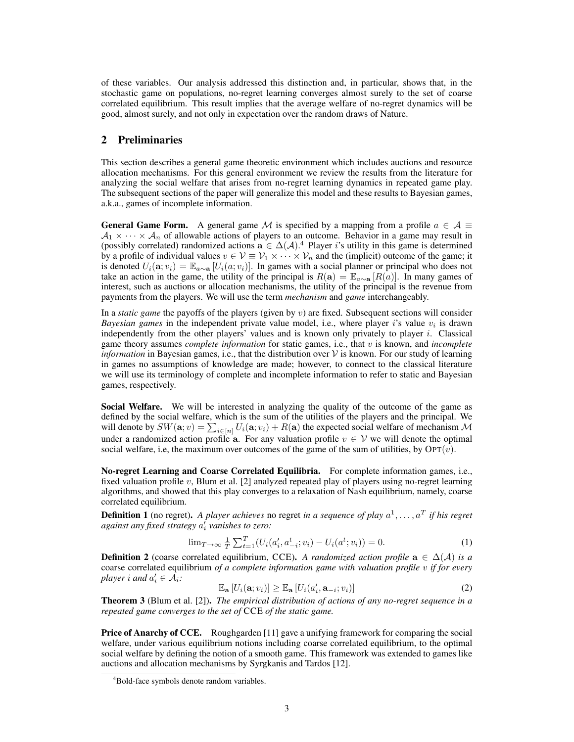of these variables. Our analysis addressed this distinction and, in particular, shows that, in the stochastic game on populations, no-regret learning converges almost surely to the set of coarse correlated equilibrium. This result implies that the average welfare of no-regret dynamics will be good, almost surely, and not only in expectation over the random draws of Nature.

## 2 Preliminaries

This section describes a general game theoretic environment which includes auctions and resource allocation mechanisms. For this general environment we review the results from the literature for analyzing the social welfare that arises from no-regret learning dynamics in repeated game play. The subsequent sections of the paper will generalize this model and these results to Bayesian games, a.k.a., games of incomplete information.

**General Game Form.** A general game M is specified by a mapping from a profile  $a \in \mathcal{A} \equiv$  $A_1 \times \cdots \times A_n$  of allowable actions of players to an outcome. Behavior in a game may result in (possibly correlated) randomized actions  $\mathbf{a} \in \Delta(\mathcal{A})$ .<sup>4</sup> Player *i*'s utility in this game is determined by a profile of individual values  $v \in V \equiv V_1 \times \cdots \times V_n$  and the (implicit) outcome of the game; it is denoted  $U_i(\mathbf{a}; v_i) = \mathbb{E}_{a \sim \mathbf{a}}[U_i(a; v_i)]$ . In games with a social planner or principal who does not take an action in the game, the utility of the principal is  $R(a) = \mathbb{E}_{a \sim a}[R(a)]$ . In many games of interest, such as auctions or allocation mechanisms, the utility of the principal is the revenue from payments from the players. We will use the term *mechanism* and *game* interchangeably.

In a *static game* the payoffs of the players (given by v) are fixed. Subsequent sections will consider *Bayesian games* in the independent private value model, i.e., where player  $i$ 's value  $v_i$  is drawn independently from the other players' values and is known only privately to player  $i$ . Classical game theory assumes *complete information* for static games, i.e., that v is known, and *incomplete information* in Bayesian games, i.e., that the distribution over  $V$  is known. For our study of learning in games no assumptions of knowledge are made; however, to connect to the classical literature we will use its terminology of complete and incomplete information to refer to static and Bayesian games, respectively.

Social Welfare. We will be interested in analyzing the quality of the outcome of the game as defined by the social welfare, which is the sum of the utilities of the players and the principal. We will denote by  $SW(\mathbf{a}; v) = \sum_{i \in [n]} U_i(\mathbf{a}; v_i) + R(\mathbf{a})$  the expected social welfare of mechanism  $\mathcal M$ under a randomized action profile a. For any valuation profile  $v \in V$  we will denote the optimal social welfare, i.e, the maximum over outcomes of the game of the sum of utilities, by  $\text{OPT}(v)$ .

No-regret Learning and Coarse Correlated Equilibria. For complete information games, i.e., fixed valuation profile  $v$ , Blum et al. [2] analyzed repeated play of players using no-regret learning algorithms, and showed that this play converges to a relaxation of Nash equilibrium, namely, coarse correlated equilibrium.

**Definition 1** (no regret). A player achieves no regret in a sequence of play  $a^1, \ldots, a^T$  if his regret *against any fixed strategy* a 0 i *vanishes to zero:*

$$
\lim_{T \to \infty} \frac{1}{T} \sum_{t=1}^{T} (U_i(a'_i, a^t_{-i}; v_i) - U_i(a^t; v_i)) = 0.
$$
 (1)

**Definition 2** (coarse correlated equilibrium, CCE). *A randomized action profile*  $a \in \Delta(\mathcal{A})$  *is a* coarse correlated equilibrium *of a complete information game with valuation profile* v *if for every player i* and  $a'_i \in \mathcal{A}_i$ :

$$
\mathbb{E}_{\mathbf{a}}\left[U_i(\mathbf{a};v_i)\right] \ge \mathbb{E}_{\mathbf{a}}\left[U_i(a'_i,\mathbf{a}_{-i};v_i)\right]
$$
\n(2)

Theorem 3 (Blum et al. [2]). *The empirical distribution of actions of any no-regret sequence in a repeated game converges to the set of* CCE *of the static game.*

**Price of Anarchy of CCE.** Roughgarden [11] gave a unifying framework for comparing the social welfare, under various equilibrium notions including coarse correlated equilibrium, to the optimal social welfare by defining the notion of a smooth game. This framework was extended to games like auctions and allocation mechanisms by Syrgkanis and Tardos [12].

<sup>&</sup>lt;sup>4</sup>Bold-face symbols denote random variables.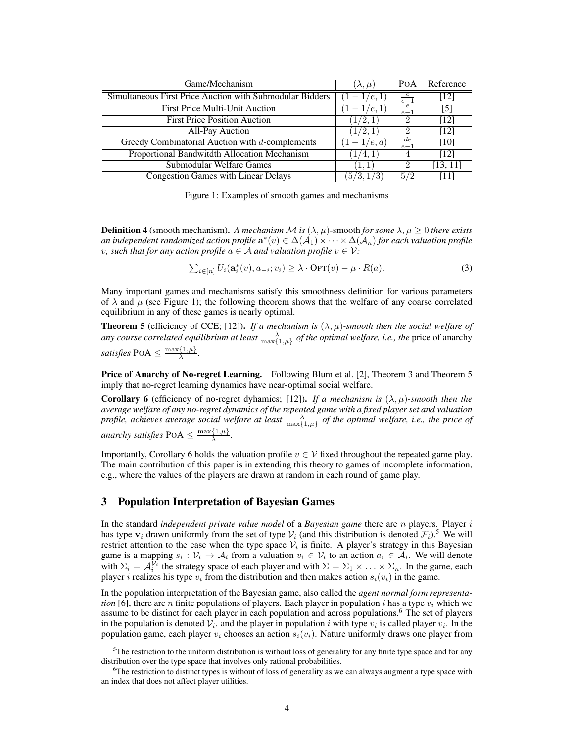| Game/Mechanism                                           | $(\lambda,\mu)$ | POA             | Reference         |
|----------------------------------------------------------|-----------------|-----------------|-------------------|
| Simultaneous First Price Auction with Submodular Bidders | $(1-1/e,1)$     | $\frac{e}{e-1}$ | [12]              |
| <b>First Price Multi-Unit Auction</b>                    | $-1/e, 1)$      | $\frac{e}{e-1}$ | $\lceil 5 \rceil$ |
| <b>First Price Position Auction</b>                      | (1/2, 1)        | 2               | [12]              |
| <b>All-Pay Auction</b>                                   | 1/2, 1          | $\mathcal{D}$   | [12]              |
| Greedy Combinatorial Auction with d-complements          | $(1-1/e,d)$     | $rac{de}{e-1}$  | [10]              |
| Proportional Bandwitdth Allocation Mechanism             | 1/4, 1)         | 4               | [12]              |
| Submodular Welfare Games                                 | (1,1)           | $\mathcal{D}$   | [13, 11]          |
| <b>Congestion Games with Linear Delays</b>               | (5/3, 1/3)      | 5/2             | [11]              |

Figure 1: Examples of smooth games and mechanisms

**Definition 4** (smooth mechanism). A mechanism M is  $(\lambda, \mu)$ -smooth for some  $\lambda, \mu \geq 0$  there exists an independent randomized action profile  $\mathbf{a}^*(v)\in\Delta(\mathcal{A}_1)\times\cdots\times\Delta(\mathcal{A}_n)$  for each valuation profile *v*, such that for any action profile  $a \in \mathcal{A}$  and valuation profile  $v \in \mathcal{V}$ :

$$
\sum_{i \in [n]} U_i(\mathbf{a}_i^*(v), a_{-i}; v_i) \ge \lambda \cdot \text{OPT}(v) - \mu \cdot R(a). \tag{3}
$$

Many important games and mechanisms satisfy this smoothness definition for various parameters of  $\lambda$  and  $\mu$  (see Figure 1); the following theorem shows that the welfare of any coarse correlated equilibrium in any of these games is nearly optimal.

**Theorem 5** (efficiency of CCE; [12]). *If a mechanism is*  $(\lambda, \mu)$ *-smooth then the social welfare of any course correlated equilibrium at least*  $\frac{\lambda}{\max\{1,\mu\}}$  *of the optimal welfare, i.e., the* price of anarchy *satisfies* POA  $\leq \frac{\max\{1,\mu\}}{\lambda}$  $\frac{\{1,\mu\}}{\lambda}$ .

Price of Anarchy of No-regret Learning. Following Blum et al. [2], Theorem 3 and Theorem 5 imply that no-regret learning dynamics have near-optimal social welfare.

**Corollary 6** (efficiency of no-regret dyhamics; [12]). *If a mechanism is*  $(\lambda, \mu)$ *-smooth then the average welfare of any no-regret dynamics of the repeated game with a fixed player set and valuation profile, achieves average social welfare at least*  $\frac{\lambda}{\max\{1,\mu\}}$  *of the optimal welfare, i.e., the price of anarchy satisfies* POA  $\leq \frac{\max\{1,\mu\}}{\lambda}$  $\frac{\{1,\mu\}}{\lambda}$ .

Importantly, Corollary 6 holds the valuation profile  $v \in V$  fixed throughout the repeated game play. The main contribution of this paper is in extending this theory to games of incomplete information, e.g., where the values of the players are drawn at random in each round of game play.

## 3 Population Interpretation of Bayesian Games

In the standard *independent private value model* of a *Bayesian game* there are n players. Player i has type  $v_i$  drawn uniformly from the set of type  $V_i$  (and this distribution is denoted  $\mathcal{F}_i$ ).<sup>5</sup> We will restrict attention to the case when the type space  $V_i$  is finite. A player's strategy in this Bayesian game is a mapping  $s_i : \mathcal{V}_i \to \mathcal{A}_i$  from a valuation  $v_i \in \mathcal{V}_i$  to an action  $a_i \in \mathcal{A}_i$ . We will denote with  $\Sigma_i = A_i^{\mathcal{V}_i}$  the strategy space of each player and with  $\Sigma = \Sigma_1 \times \ldots \times \Sigma_n$ . In the game, each player *i* realizes his type  $v_i$  from the distribution and then makes action  $s_i(v_i)$  in the game.

In the population interpretation of the Bayesian game, also called the *agent normal form representation* [6], there are *n* finite populations of players. Each player in population *i* has a type  $v_i$  which we assume to be distinct for each player in each population and across populations.<sup>6</sup> The set of players in the population is denoted  $V_i$ , and the player in population i with type  $v_i$  is called player  $v_i$ . In the population game, each player  $v_i$  chooses an action  $s_i(v_i)$ . Nature uniformly draws one player from

 $5$ The restriction to the uniform distribution is without loss of generality for any finite type space and for any distribution over the type space that involves only rational probabilities.

<sup>6</sup>The restriction to distinct types is without of loss of generality as we can always augment a type space with an index that does not affect player utilities.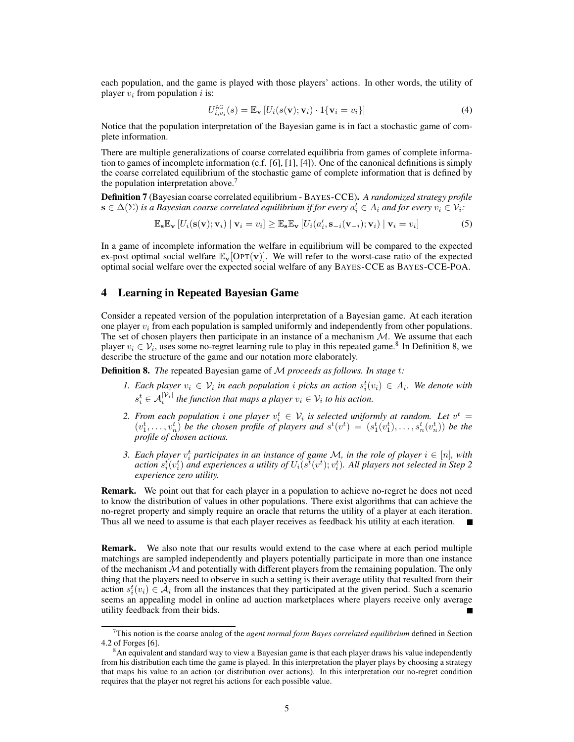each population, and the game is played with those players' actions. In other words, the utility of player  $v_i$  from population i is:

$$
U_{i,v_i}^{\text{AG}}(s) = \mathbb{E}_{\mathbf{v}}\left[U_i(s(\mathbf{v}); \mathbf{v}_i) \cdot 1\{\mathbf{v}_i = v_i\}\right]
$$
(4)

Notice that the population interpretation of the Bayesian game is in fact a stochastic game of complete information.

There are multiple generalizations of coarse correlated equilibria from games of complete information to games of incomplete information (c.f. [6], [1], [4]). One of the canonical definitions is simply the coarse correlated equilibrium of the stochastic game of complete information that is defined by the population interpretation above.<sup>7</sup>

Definition 7 (Bayesian coarse correlated equilibrium - BAYES-CCE). *A randomized strategy profile*  $\mathbf{s} \in \Delta(\Sigma)$  is a Bayesian coarse correlated equilibrium if for every  $a_i' \in A_i$  and for every  $v_i \in V_i$ :

$$
\mathbb{E}_{\mathbf{s}}\mathbb{E}_{\mathbf{v}}\left[U_i(\mathbf{s}(\mathbf{v});\mathbf{v}_i)\mid \mathbf{v}_i=v_i\right] \geq \mathbb{E}_{\mathbf{s}}\mathbb{E}_{\mathbf{v}}\left[U_i(a'_i,\mathbf{s}_{-i}(\mathbf{v}_{-i});\mathbf{v}_i)\mid \mathbf{v}_i=v_i\right]
$$
(5)

In a game of incomplete information the welfare in equilibrium will be compared to the expected ex-post optimal social welfare  $\mathbb{E}_{\mathbf{v}}[\text{OPT}(\mathbf{v})]$ . We will refer to the worst-case ratio of the expected optimal social welfare over the expected social welfare of any BAYES-CCE as BAYES-CCE-POA.

# 4 Learning in Repeated Bayesian Game

Consider a repeated version of the population interpretation of a Bayesian game. At each iteration one player  $v_i$  from each population is sampled uniformly and independently from other populations. The set of chosen players then participate in an instance of a mechanism  $M$ . We assume that each player  $v_i \in V_i$ , uses some no-regret learning rule to play in this repeated game.<sup>8</sup> In Definition 8, we describe the structure of the game and our notation more elaborately.

Definition 8. *The* repeated Bayesian game of M *proceeds as follows. In stage* t*:*

- *1.* Each player  $v_i \in V_i$  in each population i picks an action  $s_i^t(v_i) \in A_i$ . We denote with  $s_i^t \in \mathcal{A}_i^{|\mathcal{V}_i|}$  the function that maps a player  $v_i \in \mathcal{V}_i$  to his action.
- 2. From each population i one player  $v_i^t \in V_i$  is selected uniformly at random. Let  $v^t =$  $(v_1^t, \ldots, v_n^t)$  *be the chosen profile of players and*  $s^t(v^t) = (s_1^t(v_1^t), \ldots, s_n^t(v_n^t))$  *be the profile of chosen actions.*
- *3. Each player*  $v_i^t$  participates in an instance of game M, in the role of player  $i \in [n]$ , with action  $s_i^t(v_i^t)$  and experiences a utility of  $U_i(s^{\tilde{t}}(v^t); v_i^t)$ . All players not selected in Step 2 *experience zero utility.*

Remark. We point out that for each player in a population to achieve no-regret he does not need to know the distribution of values in other populations. There exist algorithms that can achieve the no-regret property and simply require an oracle that returns the utility of a player at each iteration. Thus all we need to assume is that each player receives as feedback his utility at each iteration.

Remark. We also note that our results would extend to the case where at each period multiple matchings are sampled independently and players potentially participate in more than one instance of the mechanism  $\mathcal M$  and potentially with different players from the remaining population. The only thing that the players need to observe in such a setting is their average utility that resulted from their action  $s_i^t(v_i) \in \mathcal{A}_i$  from all the instances that they participated at the given period. Such a scenario seems an appealing model in online ad auction marketplaces where players receive only average utility feedback from their bids. П

<sup>7</sup>This notion is the coarse analog of the *agent normal form Bayes correlated equilibrium* defined in Section 4.2 of Forges [6].

<sup>&</sup>lt;sup>8</sup>An equivalent and standard way to view a Bayesian game is that each player draws his value independently from his distribution each time the game is played. In this interpretation the player plays by choosing a strategy that maps his value to an action (or distribution over actions). In this interpretation our no-regret condition requires that the player not regret his actions for each possible value.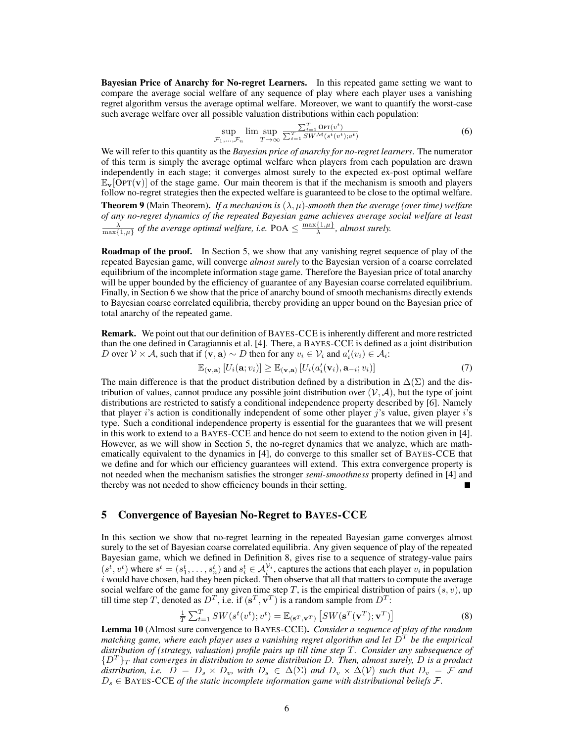Bayesian Price of Anarchy for No-regret Learners. In this repeated game setting we want to compare the average social welfare of any sequence of play where each player uses a vanishing regret algorithm versus the average optimal welfare. Moreover, we want to quantify the worst-case such average welfare over all possible valuation distributions within each population:

$$
\sup_{\mathcal{F}_1,\ldots,\mathcal{F}_n} \lim \sup_{T \to \infty} \frac{\sum_{t=1}^T \text{OPT}(v^t)}{\sum_{t=1}^T \text{SWM}(s^t(v^t);v^t)} \tag{6}
$$

We will refer to this quantity as the *Bayesian price of anarchy for no-regret learners*. The numerator of this term is simply the average optimal welfare when players from each population are drawn independently in each stage; it converges almost surely to the expected ex-post optimal welfare  $\mathbb{E}_{\mathbf{v}}[\text{OPT}(\mathbf{v})]$  of the stage game. Our main theorem is that if the mechanism is smooth and players follow no-regret strategies then the expected welfare is guaranteed to be close to the optimal welfare.

**Theorem 9** (Main Theorem). *If a mechanism is*  $(\lambda, \mu)$ *-smooth then the average (over time) welfare of any no-regret dynamics of the repeated Bayesian game achieves average social welfare at least*  $\frac{\lambda}{\max\{1,\mu\}}$  of the average optimal welfare, i.e. POA  $\leq \frac{\max\{1,\mu\}}{\lambda}$  $\frac{\{1, \mu\}}{\lambda}$ , almost surely.

**Roadmap of the proof.** In Section 5, we show that any vanishing regret sequence of play of the repeated Bayesian game, will converge *almost surely* to the Bayesian version of a coarse correlated equilibrium of the incomplete information stage game. Therefore the Bayesian price of total anarchy will be upper bounded by the efficiency of guarantee of any Bayesian coarse correlated equilibrium. Finally, in Section 6 we show that the price of anarchy bound of smooth mechanisms directly extends to Bayesian coarse correlated equilibria, thereby providing an upper bound on the Bayesian price of total anarchy of the repeated game.

Remark. We point out that our definition of BAYES-CCE is inherently different and more restricted than the one defined in Caragiannis et al. [4]. There, a BAYES-CCE is defined as a joint distribution D over  $V \times A$ , such that if  $(\mathbf{v}, \mathbf{a}) \sim D$  then for any  $v_i \in V_i$  and  $a'_i(v_i) \in A_i$ :

$$
\mathbb{E}_{(\mathbf{v},\mathbf{a})}[U_i(\mathbf{a};v_i)] \geq \mathbb{E}_{(\mathbf{v},\mathbf{a})}[U_i(a_i'(\mathbf{v}_i),\mathbf{a}_{-i};v_i)] \tag{7}
$$

The main difference is that the product distribution defined by a distribution in  $\Delta(\Sigma)$  and the distribution of values, cannot produce any possible joint distribution over  $(\mathcal{V}, \mathcal{A})$ , but the type of joint distributions are restricted to satisfy a conditional independence property described by [6]. Namely that player i's action is conditionally independent of some other player j's value, given player i's type. Such a conditional independence property is essential for the guarantees that we will present in this work to extend to a BAYES-CCE and hence do not seem to extend to the notion given in [4]. However, as we will show in Section 5, the no-regret dynamics that we analyze, which are mathematically equivalent to the dynamics in [4], do converge to this smaller set of BAYES-CCE that we define and for which our efficiency guarantees will extend. This extra convergence property is not needed when the mechanism satisfies the stronger *semi-smoothness* property defined in [4] and thereby was not needed to show efficiency bounds in their setting.

## 5 Convergence of Bayesian No-Regret to BAYES-CCE

In this section we show that no-regret learning in the repeated Bayesian game converges almost surely to the set of Bayesian coarse correlated equilibria. Any given sequence of play of the repeated Bayesian game, which we defined in Definition 8, gives rise to a sequence of strategy-value pairs  $(s^t, v^t)$  where  $s^t = (s_1^t, \ldots, s_n^t)$  and  $s_i^t \in \mathcal{A}_i^{\mathcal{V}_i}$ , captures the actions that each player  $v_i$  in population  $i$  would have chosen, had they been picked. Then observe that all that matters to compute the average social welfare of the game for any given time step T, is the empirical distribution of pairs  $(s, v)$ , up till time step T, denoted as  $D<sup>T</sup>$ , i.e. if  $({\bf s}<sup>T</sup>, {\bf v}<sup>T</sup>)$  is a random sample from  $D<sup>T</sup>$ :

$$
\frac{1}{T} \sum_{t=1}^{T} SW(s^t(v^t); v^t) = \mathbb{E}_{(\mathbf{s}^T, \mathbf{v}^T)} \left[ SW(\mathbf{s}^T(\mathbf{v}^T); \mathbf{v}^T) \right]
$$
(8)

Lemma 10 (Almost sure convergence to BAYES-CCE). *Consider a sequence of play of the random matching game, where each player uses a vanishing regret algorithm and let*  $\overline{D}^T$  *be the empirical distribution of (strategy, valuation) profile pairs up till time step* T*. Consider any subsequence of*  ${D^T}_{T}$  *that converges in distribution to some distribution D. Then, almost surely, D is a product distribution, i.e.*  $D = D_s \times D_v$ *, with*  $D_s \in \Delta(\Sigma)$  *and*  $D_v \times \Delta(V)$  *such that*  $D_v = \mathcal{F}$  *and*  $D_s \in$  BAYES-CCE *of the static incomplete information game with distributional beliefs*  $\mathcal{F}$ .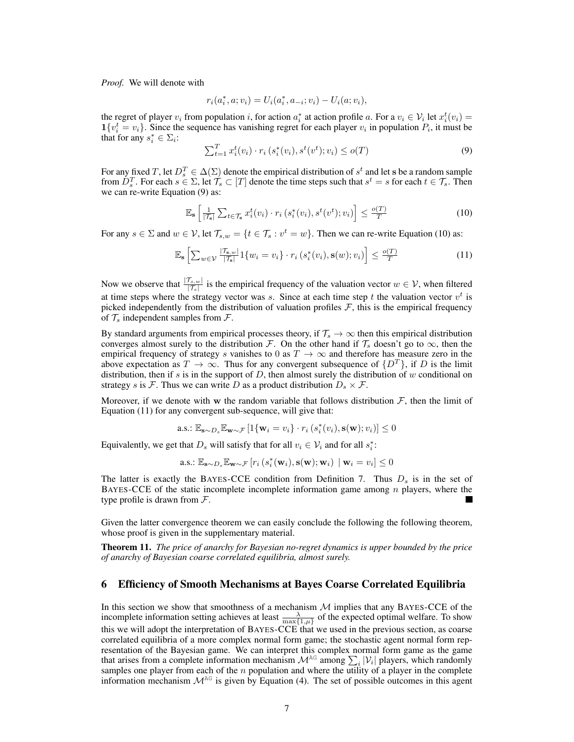*Proof.* We will denote with

$$
r_i(a_i^*, a; v_i) = U_i(a_i^*, a_{-i}; v_i) - U_i(a; v_i),
$$

the regret of player  $v_i$  from population i, for action  $a_i^*$  at action profile i. For a  $v_i \in V_i$  let  $x_i^t(v_i) =$  $\mathbf{1}\{v_i^t = v_i\}$ . Since the sequence has vanishing regret for each player  $v_i$  in population  $P_i$ , it must be that for any  $s_i^* \in \Sigma_i$ :

$$
\sum_{t=1}^{T} x_i^t(v_i) \cdot r_i(s_i^*(v_i), s^t(v^t); v_i) \leq o(T)
$$
\n(9)

For any fixed T, let  $D_s^T \in \Delta(\Sigma)$  denote the empirical distribution of  $s^t$  and let s be a random sample from  $D_s^T$ . For each  $s \in \Sigma$ , let  $\mathcal{T}_s \subset [T]$  denote the time steps such that  $s^t = s$  for each  $t \in \mathcal{T}_s$ . Then we can re-write Equation (9) as:

$$
\mathbb{E}_{\mathbf{s}}\left[\frac{1}{|\mathcal{T}_{\mathbf{s}}|}\sum_{t\in\mathcal{T}_{\mathbf{s}}}x_i^t(v_i)\cdot r_i\left(s_i^*(v_i), s^t(v^t); v_i\right)\right] \le \frac{o(T)}{T} \tag{10}
$$

For any  $s \in \Sigma$  and  $w \in V$ , let  $\mathcal{T}_{s,w} = \{t \in \mathcal{T}_s : v^t = w\}$ . Then we can re-write Equation (10) as:

$$
\mathbb{E}_{\mathbf{s}}\left[\sum_{w \in \mathcal{V}} \frac{|\mathcal{T}_{\mathbf{s},w}|}{|\mathcal{T}_{\mathbf{s}}|} 1\{w_i = v_i\} \cdot r_i\left(s_i^*(v_i), \mathbf{s}(w); v_i\right)\right] \le \frac{o(T)}{T}
$$
(11)

Now we observe that  $\frac{|\mathcal{T}_s,w|}{|\mathcal{T}_s|}$  is the empirical frequency of the valuation vector  $w \in \mathcal{V}$ , when filtered at time steps where the strategy vector was s. Since at each time step t the valuation vector  $v<sup>t</sup>$  is picked independently from the distribution of valuation profiles  $\mathcal{F}$ , this is the empirical frequency of  $\mathcal{T}_s$  independent samples from  $\mathcal{F}_s$ .

By standard arguments from empirical processes theory, if  $\mathcal{T}_s \to \infty$  then this empirical distribution converges almost surely to the distribution F. On the other hand if  $\mathcal{T}_s$  doesn't go to  $\infty$ , then the empirical frequency of strategy s vanishes to 0 as  $T \to \infty$  and therefore has measure zero in the above expectation as  $T \to \infty$ . Thus for any convergent subsequence of  $\{D^T\}$ , if D is the limit distribution, then if s is in the support of  $D$ , then almost surely the distribution of  $w$  conditional on strategy s is F. Thus we can write D as a product distribution  $D_s \times F$ .

Moreover, if we denote with w the random variable that follows distribution  $F$ , then the limit of Equation (11) for any convergent sub-sequence, will give that:

a.s.: 
$$
\mathbb{E}_{\mathbf{s} \sim D_s} \mathbb{E}_{\mathbf{w} \sim \mathcal{F}} \left[ \mathbb{1} \{ \mathbf{w}_i = v_i \} \cdot r_i \left( s_i^*(v_i), \mathbf{s}(\mathbf{w}); v_i \right) \right] \leq 0
$$

Equivalently, we get that  $D_s$  will satisfy that for all  $v_i \in V_i$  and for all  $s_i^*$ :

a.s.: 
$$
\mathbb{E}_{\mathbf{s} \sim D_s} \mathbb{E}_{\mathbf{w} \sim \mathcal{F}} [r_i(s_i^*(\mathbf{w}_i), \mathbf{s}(\mathbf{w}); \mathbf{w}_i) | \mathbf{w}_i = v_i] \leq 0
$$

The latter is exactly the BAYES-CCE condition from Definition 7. Thus  $D_s$  is in the set of BAYES-CCE of the static incomplete incomplete information game among  $n$  players, where the type profile is drawn from  $\mathcal{F}$ .

Given the latter convergence theorem we can easily conclude the following the following theorem, whose proof is given in the supplementary material.

Theorem 11. *The price of anarchy for Bayesian no-regret dynamics is upper bounded by the price of anarchy of Bayesian coarse correlated equilibria, almost surely.*

#### 6 Efficiency of Smooth Mechanisms at Bayes Coarse Correlated Equilibria

In this section we show that smoothness of a mechanism  $M$  implies that any BAYES-CCE of the incomplete information setting achieves at least  $\frac{\lambda}{\max\{1,\mu\}}$  of the expected optimal welfare. To show this we will adopt the interpretation of BAYES-CCE that we used in the previous section, as coarse correlated equilibria of a more complex normal form game; the stochastic agent normal form representation of the Bayesian game. We can interpret this complex normal form game as the game that arises from a complete information mechanism  $\mathcal{M}^{AG}$  among  $\sum_i |\mathcal{V}_i|$  players, which randomly samples one player from each of the  $n$  population and where the utility of a player in the complete information mechanism  $\mathcal{M}^{\text{AG}}$  is given by Equation (4). The set of possible outcomes in this agent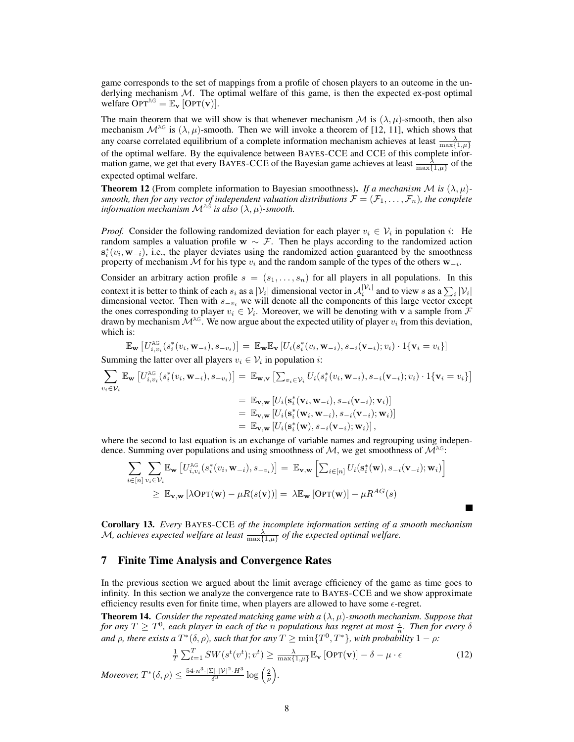game corresponds to the set of mappings from a profile of chosen players to an outcome in the underlying mechanism  $M$ . The optimal welfare of this game, is then the expected ex-post optimal welfare  $OPT^{AG} = \mathbb{E}_{\mathbf{v}}$  [OPT(**v**)].

The main theorem that we will show is that whenever mechanism  $\mathcal M$  is  $(\lambda, \mu)$ -smooth, then also mechanism  $\mathcal{M}^{\text{AG}}$  is  $(\lambda, \mu)$ -smooth. Then we will invoke a theorem of [12, 11], which shows that any coarse correlated equilibrium of a complete information mechanism achieves at least  $\frac{\lambda}{\max\{1,\mu\}}$ of the optimal welfare. By the equivalence between BAYES-CCE and CCE of this complete information game, we get that every BAYES-CCE of the Bayesian game achieves at least  $\frac{\lambda}{\max\{1,\mu\}}$  of the expected optimal welfare.

**Theorem 12** (From complete information to Bayesian smoothness). *If a mechanism*  $M$  *is*  $(\lambda, \mu)$ *smooth, then for any vector of independent valuation distributions*  $\mathcal{F} = (\mathcal{F}_1, \ldots, \mathcal{F}_n)$ *, the complete information mechanism*  $\mathcal{M}^{\mathbb{A}\tilde{G}}$  *is also*  $(\lambda, \mu)$ *-smooth.* 

*Proof.* Consider the following randomized deviation for each player  $v_i \in V_i$  in population i: He random samples a valuation profile  $w \sim \mathcal{F}$ . Then he plays according to the randomized action  $s_i^*(v_i, w_{-i})$ , i.e., the player deviates using the randomized action guaranteed by the smoothness property of mechanism M for his type  $v_i$  and the random sample of the types of the others  $w_{-i}$ .

Consider an arbitrary action profile  $s = (s_1, \ldots, s_n)$  for all players in all populations. In this context it is better to think of each  $s_i$  as a  $|V_i|$  dimensional vector in  $A_i^{|V_i|}$  and to view s as a  $\sum_i |V_i|$ dimensional vector. Then with  $s_{-v_i}$  we will denote all the components of this large vector except the ones corresponding to player  $v_i \in V_i$ . Moreover, we will be denoting with v a sample from  $\mathcal F$ drawn by mechanism  $\mathcal{M}^{\text{AG}}$ . We now argue about the expected utility of player  $v_i$  from this deviation, which is:

$$
\mathbb{E}_{\mathbf{w}}\left[U_{i,v_i}^{\mathrm{AG}}(s_i^*(v_i,\mathbf{w}_{-i}),s_{-v_i})\right] = \mathbb{E}_{\mathbf{w}}\mathbb{E}_{\mathbf{v}}\left[U_i(s_i^*(v_i,\mathbf{w}_{-i}),s_{-i}(\mathbf{v}_{-i});v_i)\cdot\mathbb{1}\{\mathbf{v}_i=v_i\}\right]
$$

Summing the latter over all players  $v_i \in V_i$  in population *i*:

$$
\sum_{v_i \in \mathcal{V}_i} \mathbb{E}_{\mathbf{w}} \left[ U_{i, v_i}^{\text{AG}}(s_i^*(v_i, \mathbf{w}_{-i}), s_{-v_i}) \right] = \mathbb{E}_{\mathbf{w}, \mathbf{v}} \left[ \sum_{v_i \in \mathcal{V}_i} U_i(s_i^*(v_i, \mathbf{w}_{-i}), s_{-i}(\mathbf{v}_{-i}); v_i) \cdot 1 \{ \mathbf{v}_i = v_i \} \right]
$$
\n
$$
= \mathbb{E}_{\mathbf{v}, \mathbf{w}} \left[ U_i(\mathbf{s}_i^*(\mathbf{v}_i, \mathbf{w}_{-i}), s_{-i}(\mathbf{v}_{-i}); \mathbf{v}_i) \right]
$$
\n
$$
= \mathbb{E}_{\mathbf{v}, \mathbf{w}} \left[ U_i(\mathbf{s}_i^*(\mathbf{w}_i, \mathbf{w}_{-i}), s_{-i}(\mathbf{v}_{-i}); \mathbf{w}_i) \right]
$$
\n
$$
= \mathbb{E}_{\mathbf{v}, \mathbf{w}} \left[ U_i(\mathbf{s}_i^*(\mathbf{w}), s_{-i}(\mathbf{v}_{-i}); \mathbf{w}_i) \right],
$$

where the second to last equation is an exchange of variable names and regrouping using independence. Summing over populations and using smoothness of  $M$ , we get smoothness of  $M^{\text{AG}}$ :

$$
\sum_{i \in [n]} \sum_{v_i \in \mathcal{V}_i} \mathbb{E}_{\mathbf{w}} \left[ U_{i, v_i}^{\text{AG}}(s_i^*(v_i, \mathbf{w}_{-i}), s_{-v_i}) \right] = \mathbb{E}_{\mathbf{v}, \mathbf{w}} \left[ \sum_{i \in [n]} U_i(\mathbf{s}_i^*(\mathbf{w}), s_{-i}(\mathbf{v}_{-i}); \mathbf{w}_i) \right]
$$
  
\n
$$
\geq \mathbb{E}_{\mathbf{v}, \mathbf{w}} \left[ \lambda \text{OPT}(\mathbf{w}) - \mu R(s(\mathbf{v})) \right] = \lambda \mathbb{E}_{\mathbf{w}} \left[ \text{OPT}(\mathbf{w}) \right] - \mu R^{AG}(s)
$$

Corollary 13. *Every* BAYES-CCE *of the incomplete information setting of a smooth mechanism* M, achieves expected welfare at least  $\frac{\lambda}{\max\{1,\mu\}}$  of the expected optimal welfare.

#### 7 Finite Time Analysis and Convergence Rates

In the previous section we argued about the limit average efficiency of the game as time goes to infinity. In this section we analyze the convergence rate to BAYES-CCE and we show approximate efficiency results even for finite time, when players are allowed to have some  $\epsilon$ -regret.

**Theorem 14.** *Consider the repeated matching game with a*  $(\lambda, \mu)$ *-smooth mechanism. Suppose that for any*  $T \geq T^0$ , each player in each of the *n* populations has regret at most  $\frac{\epsilon}{n}$ . Then for every  $\delta$ *and*  $\rho$ *, there exists a*  $T^*(\delta, \rho)$ *, such that for any*  $T \ge \min\{T^0, T^*\}$ *, with probability*  $1 - \rho$ *:* 

$$
\frac{1}{T} \sum_{t=1}^{T} SW(s^t(v^t); v^t) \ge \frac{\lambda}{\max\{1, \mu\}} \mathbb{E}_{\mathbf{v}} \left[ \text{OPT}(\mathbf{v}) \right] - \delta - \mu \cdot \epsilon
$$
\n(12)

*Moreover,*  $T^*(\delta, \rho) \leq \frac{54 \cdot n^3 \cdot |\Sigma| \cdot |\mathcal{V}|^2 \cdot H^3}{\delta^3}$  $\frac{\sum |\cdot |\mathcal{V}|^2 \cdot H^3}{\delta^3} \log \left(\frac{2}{\rho}\right).$